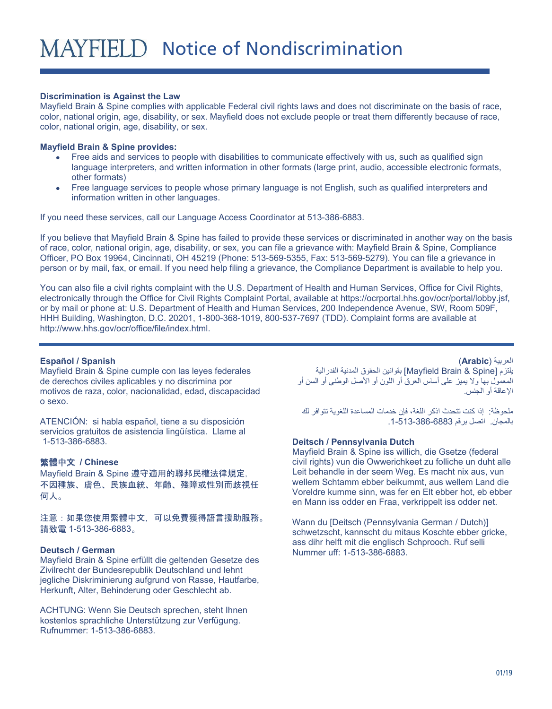# **Discrimination is Against the Law**

Mayfield Brain & Spine complies with applicable Federal civil rights laws and does not discriminate on the basis of race, color, national origin, age, disability, or sex. Mayfield does not exclude people or treat them differently because of race, color, national origin, age, disability, or sex.

# **Mayfield Brain & Spine provides:**

- Free aids and services to people with disabilities to communicate effectively with us, such as qualified sign language interpreters, and written information in other formats (large print, audio, accessible electronic formats, other formats)
- Free language services to people whose primary language is not English, such as qualified interpreters and information written in other languages.

If you need these services, call our Language Access Coordinator at 513-386-6883.

If you believe that Mayfield Brain & Spine has failed to provide these services or discriminated in another way on the basis of race, color, national origin, age, disability, or sex, you can file a grievance with: Mayfield Brain & Spine, Compliance Officer, PO Box 19964, Cincinnati, OH 45219 (Phone: 513-569-5355, Fax: 513-569-5279). You can file a grievance in person or by mail, fax, or email. If you need help filing a grievance, the Compliance Department is available to help you.

You can also file a civil rights complaint with the U.S. Department of Health and Human Services, Office for Civil Rights, electronically through the Office for Civil Rights Complaint Portal, available at https://ocrportal.hhs.gov/ocr/portal/lobby.jsf, or by mail or phone at: U.S. Department of Health and Human Services, 200 Independence Avenue, SW, Room 509F, HHH Building, Washington, D.C. 20201, 1-800-368-1019, 800-537-7697 (TDD). Complaint forms are available at http://www.hhs.gov/ocr/office/file/index.html.

# **Español / Spanish**

Mayfield Brain & Spine cumple con las leyes federales de derechos civiles aplicables y no discrimina por motivos de raza, color, nacionalidad, edad, discapacidad o sexo.

ATENCIÓN: si habla español, tiene a su disposición servicios gratuitos de asistencia lingüística. Llame al 1-513-386-6883.

# 繁體中文 **/ Chinese**

Mayfield Brain & Spine 遵守適用的聯邦民權法律規定, 不因種族、膚色、民族血統、年齡、殘障或性別而歧視任 何人。

注意:如果您使用繁體中文,可以免費獲得語言援助服務。 請致電 1-513-386-6883。

# **Deutsch / German**

Mayfield Brain & Spine erfüllt die geltenden Gesetze des Zivilrecht der Bundesrepublik Deutschland und lehnt jegliche Diskriminierung aufgrund von Rasse, Hautfarbe, Herkunft, Alter, Behinderung oder Geschlecht ab.

ACHTUNG: Wenn Sie Deutsch sprechen, steht Ihnen kostenlos sprachliche Unterstützung zur Verfügung. Rufnummer: 1-513-386-6883.

# العربية (**Arabic** (

يلتزم [Spine & Brain Mayfield [بقوانين الحقوق المدنية الفدرالية المعمول بھا وال يميز على أساس العرق أو اللون أو األصل الوطني أو السن أو اإلعاقة أو الجنس.

ملحوظة: إذا كنت تتحدث اذكر اللغة، فإن خدمات المساعدة اللغوية تتوافر لك بالمجان. اتصل برقم .1-513-386-6883

# **Deitsch / Pennsylvania Dutch**

Mayfield Brain & Spine iss willich, die Gsetze (federal civil rights) vun die Owwerichkeet zu folliche un duht alle Leit behandle in der seem Weg. Es macht nix aus, vun wellem Schtamm ebber beikummt, aus wellem Land die Voreldre kumme sinn, was fer en Elt ebber hot, eb ebber en Mann iss odder en Fraa, verkrippelt iss odder net.

Wann du [Deitsch (Pennsylvania German / Dutch)] schwetzscht, kannscht du mitaus Koschte ebber gricke, ass dihr helft mit die englisch Schprooch. Ruf selli Nummer uff: 1-513-386-6883.